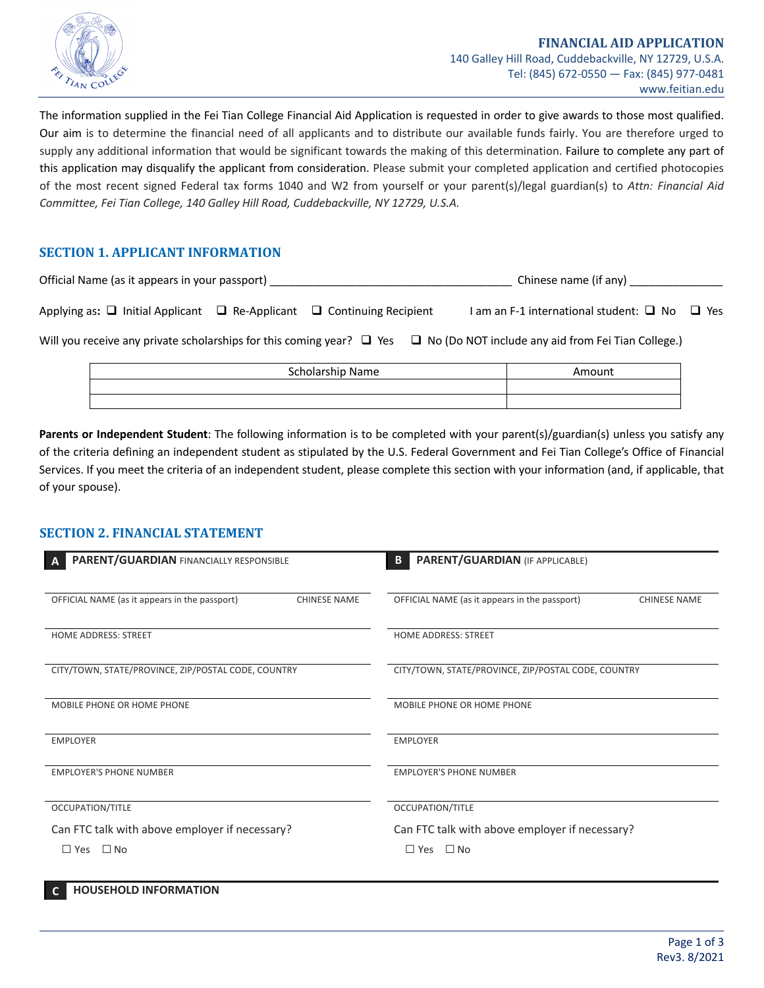

The information supplied in the Fei Tian College Financial Aid Application is requested in order to give awards to those most qualified. Our aim is to determine the financial need of all applicants and to distribute our available funds fairly. You are therefore urged to supply any additional information that would be significant towards the making of this determination. Failure to complete any part of this application may disqualify the applicant from consideration. Please submit your completed application and certified photocopies of the most recent signed Federal tax forms 1040 and W2 from yourself or your parent(s)/legal guardian(s) to *Attn: Financial Aid Committee, Fei Tian College, 140 Galley Hill Road, Cuddebackville, NY 12729, U.S.A.*

# **SECTION 1. APPLICANT INFORMATION**

| Official Name (as it appears in your passport)                                                                                          |  |  |  | Chinese name (if any)                                   |  |  |  |
|-----------------------------------------------------------------------------------------------------------------------------------------|--|--|--|---------------------------------------------------------|--|--|--|
| Applying as: $\Box$ Initial Applicant $\Box$ Re-Applicant $\Box$ Continuing Recipient                                                   |  |  |  | I am an F-1 international student: $\Box$ No $\Box$ Yes |  |  |  |
| Will you receive any private scholarships for this coming year? $\Box$ Yes<br>$\Box$ No (Do NOT include any aid from Fei Tian College.) |  |  |  |                                                         |  |  |  |

| Scholarship Name | Amount |
|------------------|--------|
|                  |        |
|                  |        |

**Parents or Independent Student**: The following information is to be completed with your parent(s)/guardian(s) unless you satisfy any of the criteria defining an independent student as stipulated by the U.S. Federal Government and Fei Tian College's Office of Financial Services. If you meet the criteria of an independent student, please complete this section with your information (and, if applicable, that of your spouse).

# **SECTION 2. FINANCIAL STATEMENT**

| PARENT/GUARDIAN FINANCIALLY RESPONSIBLE<br>A                         | <b>PARENT/GUARDIAN (IF APPLICABLE)</b><br>B                          |
|----------------------------------------------------------------------|----------------------------------------------------------------------|
| OFFICIAL NAME (as it appears in the passport)<br><b>CHINESE NAME</b> | OFFICIAL NAME (as it appears in the passport)<br><b>CHINESE NAME</b> |
| <b>HOME ADDRESS: STREET</b>                                          | <b>HOME ADDRESS: STREET</b>                                          |
| CITY/TOWN, STATE/PROVINCE, ZIP/POSTAL CODE, COUNTRY                  | CITY/TOWN, STATE/PROVINCE, ZIP/POSTAL CODE, COUNTRY                  |
| MOBILE PHONE OR HOME PHONE                                           | MOBILE PHONE OR HOME PHONE                                           |
| <b>EMPLOYER</b>                                                      | <b>EMPLOYER</b>                                                      |
| <b>EMPLOYER'S PHONE NUMBER</b>                                       | <b>EMPLOYER'S PHONE NUMBER</b>                                       |
| OCCUPATION/TITLE                                                     | OCCUPATION/TITLE                                                     |
| Can FTC talk with above employer if necessary?                       | Can FTC talk with above employer if necessary?                       |
| $\Box$ No<br>$\Box$ Yes                                              | $\Box$ No<br>$\Box$ Yes                                              |

| C. |  | <b>HOUSEHOLD INFORMATION</b> |  |
|----|--|------------------------------|--|
|----|--|------------------------------|--|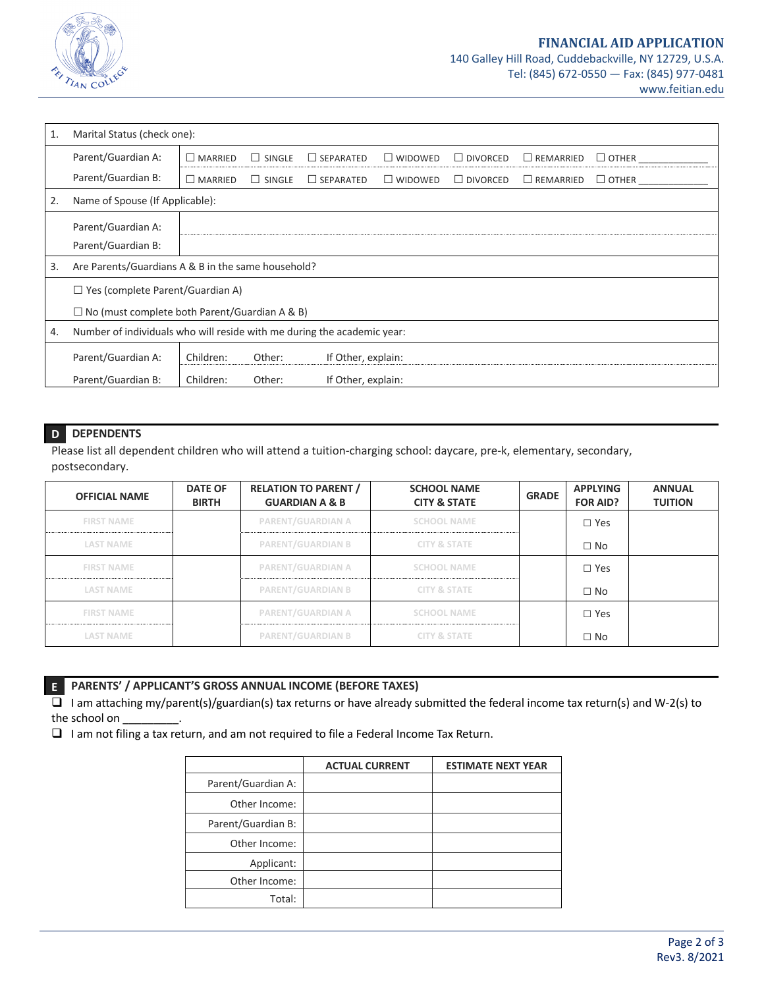

| 1. | Marital Status (check one):                                             |                |                   |                  |                |                 |                     |              |  |  |
|----|-------------------------------------------------------------------------|----------------|-------------------|------------------|----------------|-----------------|---------------------|--------------|--|--|
|    | Parent/Guardian A:                                                      | $\Box$ MARRIED | SINGLE<br>$\perp$ | $\Box$ SEPARATED | $\Box$ WIDOWED | $\Box$ divorced | $\square$ remarried | $\Box$ OTHER |  |  |
|    | Parent/Guardian B:                                                      | $\Box$ MARRIED | $\Box$ SINGLE     | $\Box$ SEPARATED | $\Box$ WIDOWED | $\Box$ DIVORCED | $\Box$ REMARRIED    | $\Box$ OTHER |  |  |
| 2. | Name of Spouse (If Applicable):                                         |                |                   |                  |                |                 |                     |              |  |  |
|    | Parent/Guardian A:<br>Parent/Guardian B:                                |                |                   |                  |                |                 |                     |              |  |  |
| 3. | Are Parents/Guardians A & B in the same household?                      |                |                   |                  |                |                 |                     |              |  |  |
|    | $\Box$ Yes (complete Parent/Guardian A)                                 |                |                   |                  |                |                 |                     |              |  |  |
|    | $\Box$ No (must complete both Parent/Guardian A & B)                    |                |                   |                  |                |                 |                     |              |  |  |
| 4. | Number of individuals who will reside with me during the academic year: |                |                   |                  |                |                 |                     |              |  |  |
|    | Parent/Guardian A:<br>Children:<br>Other:<br>If Other, explain:         |                |                   |                  |                |                 |                     |              |  |  |
|    | Parent/Guardian B:<br>Children:<br>Other:<br>If Other, explain:         |                |                   |                  |                |                 |                     |              |  |  |

## **D DEPENDENTS**

Please list all dependent children who will attend a tuition-charging school: daycare, pre-k, elementary, secondary, postsecondary.

| <b>OFFICIAL NAME</b> | <b>DATE OF</b><br><b>BIRTH</b> | <b>RELATION TO PARENT /</b><br><b>GUARDIAN A &amp; B</b> | <b>SCHOOL NAME</b><br><b>CITY &amp; STATE</b> | <b>GRADE</b> | <b>APPLYING</b><br><b>FOR AID?</b> | <b>ANNUAL</b><br><b>TUITION</b> |
|----------------------|--------------------------------|----------------------------------------------------------|-----------------------------------------------|--------------|------------------------------------|---------------------------------|
| <b>FIRST NAME</b>    |                                | PARENT/GUARDIAN A                                        | <b>SCHOOL NAME</b>                            |              | $\Box$ Yes                         |                                 |
| <b>LAST NAME</b>     |                                | <b>PARENT/GUARDIAN B</b>                                 | <b>CITY &amp; STATE</b>                       |              | $\Box$ No                          |                                 |
| <b>FIRST NAME</b>    |                                | PARENT/GUARDIAN A                                        | <b>SCHOOL NAME</b>                            |              | $\Box$ Yes                         |                                 |
| <b>LAST NAME</b>     |                                | <b>PARENT/GUARDIAN B</b>                                 | <b>CITY &amp; STATE</b>                       |              | $\Box$ No                          |                                 |
| <b>FIRST NAME</b>    |                                | PARENT/GUARDIAN A                                        | <b>SCHOOL NAME</b>                            |              | $\Box$ Yes                         |                                 |
| <b>LAST NAME</b>     |                                | <b>PARENT/GUARDIAN B</b>                                 | <b>CITY &amp; STATE</b>                       |              | $\Box$ No                          |                                 |

# **E PARENTS' / APPLICANT'S GROSS ANNUAL INCOME (BEFORE TAXES)**

 $\overline{u}$  I am attaching my/parent(s)/guardian(s) tax returns or have already submitted the federal income tax return(s) and W-2(s) to the school on

 $\Box$  I am not filing a tax return, and am not required to file a Federal Income Tax Return.

|                    | <b>ACTUAL CURRENT</b> | <b>ESTIMATE NEXT YEAR</b> |
|--------------------|-----------------------|---------------------------|
| Parent/Guardian A: |                       |                           |
| Other Income:      |                       |                           |
| Parent/Guardian B: |                       |                           |
| Other Income:      |                       |                           |
| Applicant:         |                       |                           |
| Other Income:      |                       |                           |
| Total:             |                       |                           |